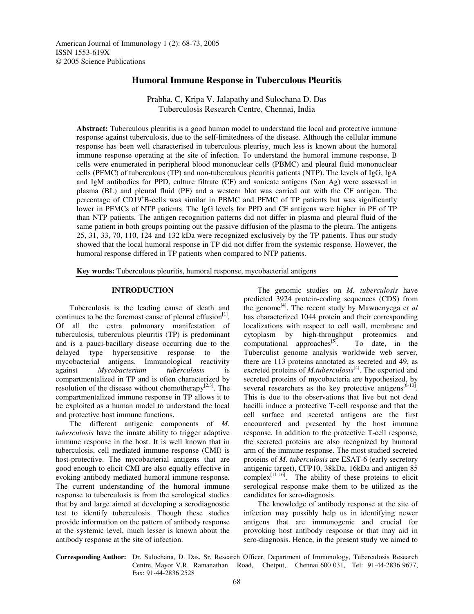# **Humoral Immune Response in Tuberculous Pleuritis**

Prabha. C, Kripa V. Jalapathy and Sulochana D. Das Tuberculosis Research Centre, Chennai, India

**Abstract:** Tuberculous pleuritis is a good human model to understand the local and protective immune response against tuberculosis, due to the self-limitedness of the disease. Although the cellular immune response has been well characterised in tuberculous pleurisy, much less is known about the humoral immune response operating at the site of infection. To understand the humoral immune response, B cells were enumerated in peripheral blood mononuclear cells (PBMC) and pleural fluid mononuclear cells (PFMC) of tuberculous (TP) and non-tuberculous pleuritis patients (NTP). The levels of IgG, IgA and IgM antibodies for PPD, culture filtrate (CF) and sonicate antigens (Son Ag) were assessed in plasma (BL) and pleural fluid (PF) and a western blot was carried out with the CF antigen. The percentage of CD19<sup>+</sup>B-cells was similar in PBMC and PFMC of TP patients but was significantly lower in PFMCs of NTP patients. The IgG levels for PPD and CF antigens were higher in PF of TP than NTP patients. The antigen recognition patterns did not differ in plasma and pleural fluid of the same patient in both groups pointing out the passive diffusion of the plasma to the pleura. The antigens 25, 31, 33, 70, 110, 124 and 132 kDa were recognized exclusively by the TP patients. Thus our study showed that the local humoral response in TP did not differ from the systemic response. However, the humoral response differed in TP patients when compared to NTP patients.

**Key words:** Tuberculous pleuritis, humoral response, mycobacterial antigens

## **INTRODUCTION**

Tuberculosis is the leading cause of death and continues to be the foremost cause of pleural effusion $[1]$ . Of all the extra pulmonary manifestation of tuberculosis, tuberculous pleuritis (TP) is predominant and is a pauci-bacillary disease occurring due to the delayed type hypersensitive response to the mycobacterial antigens. Immunological reactivity against *Mycobacterium tuberculosis* is compartmentalized in TP and is often characterized by resolution of the disease without chemotherapy<sup>[2,3]</sup>. The compartmentalized immune response in TP allows it to be exploited as a human model to understand the local and protective host immune functions.

The different antigenic components of *M. tuberculosis* have the innate ability to trigger adaptive immune response in the host. It is well known that in tuberculosis, cell mediated immune response (CMI) is host-protective. The mycobacterial antigens that are good enough to elicit CMI are also equally effective in evoking antibody mediated humoral immune response. The current understanding of the humoral immune response to tuberculosis is from the serological studies that by and large aimed at developing a serodiagnostic test to identify tuberculosis. Though these studies provide information on the pattern of antibody response at the systemic level, much lesser is known about the antibody response at the site of infection.

The genomic studies on *M. tuberculosis* have predicted 3924 protein-coding sequences (CDS) from the genome [4] . The recent study by Mawuenyega e*t al* has characterized 1044 protein and their corresponding localizations with respect to cell wall, membrane and cytoplasm by high-throughput proteomics and computational approaches<sup>[5]</sup> . To date, in the Tuberculist genome analysis worldwide web server, there are 113 proteins annotated as secreted and 49, as excreted proteins of *M.tuberculosis*<sup>[4]</sup>. The exported and secreted proteins of mycobacteria are hypothesized, by several researchers as the key protective antigens<sup>[6-10]</sup>. This is due to the observations that live but not dead bacilli induce a protective T-cell response and that the cell surface and secreted antigens are the first encountered and presented by the host immune response. In addition to the protective T-cell response, the secreted proteins are also recognized by humoral arm of the immune response. The most studied secreted proteins of *M. tuberculosis* are ESAT-6 (early secretory antigenic target), CFP10, 38kDa, 16kDa and antigen 85 complex<sup>[11-16]</sup>. The ability of these proteins to elicit serological response make them to be utilized as the candidates for sero-diagnosis.

The knowledge of antibody response at the site of infection may possibly help us in identifying newer antigens that are immunogenic and crucial for provoking host antibody response or that may aid in sero-diagnosis. Hence, in the present study we aimed to

**Corresponding Author:** Dr. Sulochana, D. Das, Sr. Research Officer, Department of Immunology, Tuberculosis Research Centre, Mayor V.R. Ramanathan Road, Chetput, Chennai 600 031, Tel: 91-44-2836 9677, Fax: 91-44-2836 2528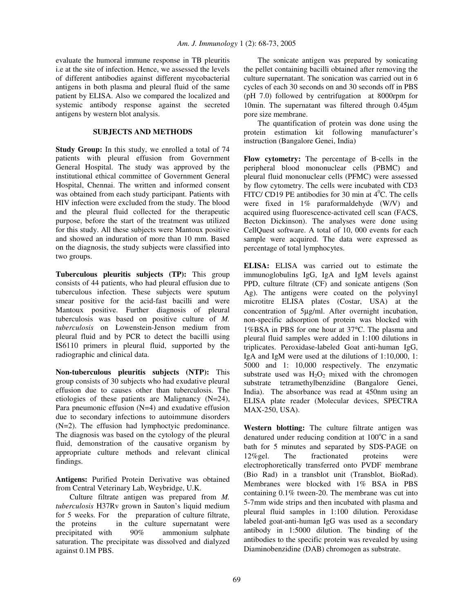evaluate the humoral immune response in TB pleuritis i.e at the site of infection. Hence, we assessed the levels of different antibodies against different mycobacterial antigens in both plasma and pleural fluid of the same patient by ELISA. Also we compared the localized and systemic antibody response against the secreted antigens by western blot analysis.

### **SUBJECTS AND METHODS**

**Study Group:** In this study, we enrolled a total of 74 patients with pleural effusion from Government General Hospital. The study was approved by the institutional ethical committee of Government General Hospital, Chennai. The written and informed consent was obtained from each study participant. Patients with HIV infection were excluded from the study. The blood and the pleural fluid collected for the therapeutic purpose, before the start of the treatment was utilized for this study. All these subjects were Mantoux positive and showed an induration of more than 10 mm. Based on the diagnosis, the study subjects were classified into two groups.

**Tuberculous pleuritis subjects (TP):** This group consists of 44 patients, who had pleural effusion due to tuberculous infection. These subjects were sputum smear positive for the acid-fast bacilli and were Mantoux positive. Further diagnosis of pleural tuberculosis was based on positive culture of *M. tuberculosis* on Lowenstein-Jenson medium from pleural fluid and by PCR to detect the bacilli using IS6110 primers in pleural fluid, supported by the radiographic and clinical data.

**Non-tuberculous pleuritis subjects (NTP):** This group consists of 30 subjects who had exudative pleural effusion due to causes other than tuberculosis. The etiologies of these patients are Malignancy (N=24), Para pneumonic effusion (N=4) and exudative effusion due to secondary infections to autoimmune disorders (N=2). The effusion had lymphoctyic predominance. The diagnosis was based on the cytology of the pleural fluid, demonstration of the causative organism by appropriate culture methods and relevant clinical findings.

**Antigens:** Purified Protein Derivative was obtained from Central Veterinary Lab, Weybridge, U.K.

Culture filtrate antigen was prepared from *M. tuberculosis* H37Rv grown in Sauton's liquid medium for 5 weeks. For the preparation of culture filtrate, the proteins in the culture supernatant were precipitated with 90% ammonium sulphate saturation. The precipitate was dissolved and dialyzed against 0.1M PBS.

The sonicate antigen was prepared by sonicating the pellet containing bacilli obtained after removing the culture supernatant. The sonication was carried out in 6 cycles of each 30 seconds on and 30 seconds off in PBS (pH 7.0) followed by centrifugation at 8000rpm for 10min. The supernatant was filtered through 0.45µm pore size membrane.

The quantification of protein was done using the protein estimation kit following manufacturer's instruction (Bangalore Genei, India)

**Flow cytometry:** The percentage of B-cells in the peripheral blood mononuclear cells (PBMC) and pleural fluid mononuclear cells (PFMC) were assessed by flow cytometry. The cells were incubated with CD3 FITC/ CD19 PE antibodies for 30 min at  $4^{\circ}$ C. The cells were fixed in 1% paraformaldehyde (W/V) and acquired using fluorescence-activated cell scan (FACS, Becton Dickinson). The analyses were done using CellQuest software. A total of 10, 000 events for each sample were acquired. The data were expressed as percentage of total lymphocytes.

**ELISA:** ELISA was carried out to estimate the immunoglobulins IgG, IgA and IgM levels against PPD, culture filtrate (CF) and sonicate antigens (Son Ag). The antigens were coated on the polyvinyl microtitre ELISA plates (Costar, USA) at the concentration of 5µg/ml. After overnight incubation, non-specific adsorption of protein was blocked with 1%BSA in PBS for one hour at 37°C. The plasma and pleural fluid samples were added in 1:100 dilutions in triplicates. Peroxidase-labeled Goat anti-human IgG, IgA and IgM were used at the dilutions of 1:10,000, 1: 5000 and 1: 10,000 respectively. The enzymatic substrate used was  $H_2O_2$  mixed with the chromogen substrate tetramethylbenzidine (Bangalore Genei, India). The absorbance was read at 450nm using an ELISA plate reader (Molecular devices, SPECTRA MAX-250, USA).

**Western blotting:** The culture filtrate antigen was denatured under reducing condition at  $100^{\circ}$ C in a sand bath for 5 minutes and separated by SDS-PAGE on 12%gel. The fractionated proteins were electrophoretically transferred onto PVDF membrane (Bio Rad) in a transblot unit (Transblot, BioRad). Membranes were blocked with 1% BSA in PBS containing 0.1% tween-20. The membrane was cut into 5-7mm wide strips and then incubated with plasma and pleural fluid samples in 1:100 dilution. Peroxidase labeled goat-anti-human IgG was used as a secondary antibody in 1:5000 dilution. The binding of the antibodies to the specific protein was revealed by using Diaminobenzidine (DAB) chromogen as substrate.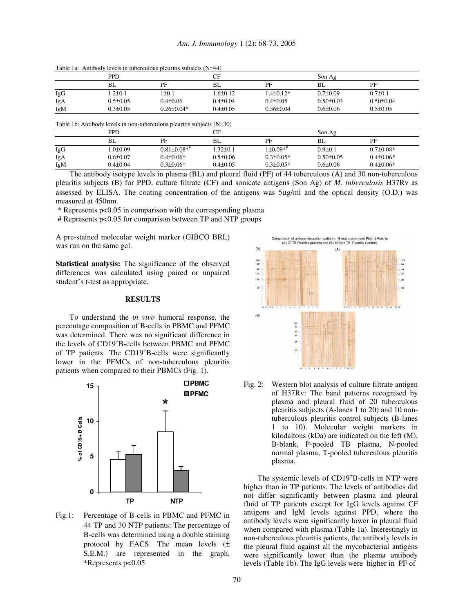|     | PPD            |                  |                | СF              |                 | Son $Ag$        |  |
|-----|----------------|------------------|----------------|-----------------|-----------------|-----------------|--|
|     | BL             | PF               | BL             | PF              | BL              | PF              |  |
| IgG | $.2 \pm 0.1$   | $1\pm0.1$        | $1.6 \pm 0.12$ | $-4\pm 0.12*$   | $0.7 \pm 0.09$  | $0.7 \pm 0.1$   |  |
| IgA | $0.5 \pm 0.05$ | $0.4 \pm 0.06$   | $0.4 \pm 0.04$ | $0.4 \pm 0.05$  | $0.50 \pm 0.03$ | $0.50 \pm 0.04$ |  |
| IgM | $0.3 \pm 0.05$ | $0.26 \pm 0.04*$ | $0.4 \pm 0.05$ | $0.36 \pm 0.04$ | $0.6 \pm 0.06$  | $0.5 \pm 0.05$  |  |

Table 1a: Antibody levels in tuberculous pleuritis subjects (N=44)

Table 1b: Antibody levels in non-tuberculous pleuritis subjects (N=30)

|     | <b>PPD</b>     |                   | UЕ             |                 | Son Ag          |                 |
|-----|----------------|-------------------|----------------|-----------------|-----------------|-----------------|
|     | BL             | PF                | BL             | PF              | BL              | PF              |
| IgG | l.0±0.09       | $0.81 \pm 0.08**$ | 1.32±0.1       | $1\pm0.09**$    | $0.9 \pm 0.1$   | $0.7 \pm 0.08*$ |
| IgA | $0.6 \pm 0.07$ | $0.4 \pm 0.06*$   | $0.5 \pm 0.06$ | $0.3 \pm 0.05*$ | $0.50 \pm 0.05$ | $0.4 \pm 0.06*$ |
| IgM | $0.4 \pm 0.04$ | $0.3 \pm 0.06*$   | $0.4 \pm 0.05$ | $0.3 \pm 0.05*$ | $0.6 \pm 0.06$  | $0.4 \pm 0.06*$ |

The antibody isotype levels in plasma (BL) and pleural fluid (PF) of 44 tuberculous (A) and 30 non-tuberculous pleuritis subjects (B) for PPD, culture filtrate (CF) and sonicate antigens (Son Ag) of *M. tuberculosis* H37Rv as assessed by ELISA. The coating concentration of the antigens was 5µg/ml and the optical density (O.D.) was measured at 450nm.

\* Represents p<0.05 in comparison with the corresponding plasma

# Represents p<0.05 for comparison between TP and NTP groups

A pre-stained molecular weight marker (GIBCO BRL) was run on the same gel.

**Statistical analysis:** The significance of the observed differences was calculated using paired or unpaired student's t-test as appropriate.

### **RESULTS**

To understand the *in vivo* humoral response, the percentage composition of B-cells in PBMC and PFMC was determined. There was no significant difference in the levels of CD19 <sup>+</sup>B-cells between PBMC and PFMC of TP patients. The CD19<sup>+</sup>B-cells were significantly lower in the PFMCs of non-tuberculous pleuritis patients when compared to their PBMCs (Fig. 1).



Fig.1: Percentage of B-cells in PBMC and PFMC in 44 TP and 30 NTP patients: The percentage of B-cells was determined using a double staining protocol by FACS. The mean levels  $(\pm$ S.E.M.) are represented in the graph. \*Represents p<0.05



Fig. 2: Western blot analysis of culture filtrate antigen of H37Rv: The band patterns recognised by plasma and pleural fluid of 20 tuberculous pleuritis subjects (A-lanes 1 to 20) and 10 nontuberculous pleuritis control subjects (B-lanes 1 to 10). Molecular weight markers in kilodaltons (kDa) are indicated on the left (M). B-blank, P-pooled TB plasma, N-pooled normal plasma, T-pooled tuberculous pleuritis plasma.

The systemic levels of CD19<sup>+</sup>B-cells in NTP were higher than in TP patients. The levels of antibodies did not differ significantly between plasma and pleural fluid of TP patients except for IgG levels against CF antigens and IgM levels against PPD, where the antibody levels were significantly lower in pleural fluid when compared with plasma (Table 1a). Interestingly in non-tuberculous pleuritis patients, the antibody levels in the pleural fluid against all the mycobacterial antigens were significantly lower than the plasma antibody levels (Table 1b). The IgG levels were higher in PF of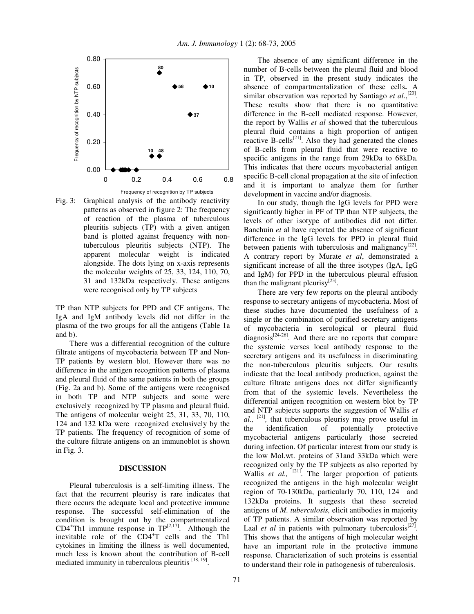

Fig. 3: Graphical analysis of the antibody reactivity patterns as observed in figure 2: The frequency of reaction of the plasma of tuberculous pleuritis subjects (TP) with a given antigen band is plotted against frequency with nontuberculous pleuritis subjects (NTP). The apparent molecular weight is indicated alongside. The dots lying on x-axis represents the molecular weights of 25, 33, 124, 110, 70, 31 and 132kDa respectively. These antigens were recognised only by TP subjects

TP than NTP subjects for PPD and CF antigens. The IgA and IgM antibody levels did not differ in the plasma of the two groups for all the antigens (Table 1a and b).

There was a differential recognition of the culture filtrate antigens of mycobacteria between TP and Non-TP patients by western blot. However there was no difference in the antigen recognition patterns of plasma and pleural fluid of the same patients in both the groups (Fig. 2a and b). Some of the antigens were recognised in both TP and NTP subjects and some were exclusively recognized by TP plasma and pleural fluid. The antigens of molecular weight 25, 31, 33, 70, 110, 124 and 132 kDa were recognized exclusively by the TP patients. The frequency of recognition of some of the culture filtrate antigens on an immunoblot is shown in Fig. 3.

#### **DISCUSSION**

Pleural tuberculosis is a self-limiting illness. The fact that the recurrent pleurisy is rare indicates that there occurs the adequate local and protective immune response. The successful self-elimination of the condition is brought out by the compartmentalized CD4<sup>+</sup>Th1 immune response in  $TP^{[2,17]}$ . Although the inevitable role of the CD4<sup>+</sup>T cells and the Th1 cytokines in limiting the illness is well documented, much less is known about the contribution of B-cell mediated immunity in tuberculous pleuritis [18, 19].

The absence of any significant difference in the number of B-cells between the pleural fluid and blood in TP, observed in the present study indicates the absence of compartmentalization of these cells**.** A similar observation was reported by Santiago et al.,<sup>[20]</sup>. These results show that there is no quantitative difference in the B-cell mediated response. However, the report by Wallis *et al* showed that the tuberculous pleural fluid contains a high proportion of antigen reactive B-cells<sup>[21]</sup>. Also they had generated the clones of B-cells from pleural fluid that were reactive to specific antigens in the range from 29kDa to 68kDa. This indicates that there occurs mycobacterial antigen specific B-cell clonal propagation at the site of infection and it is important to analyze them for further development in vaccine and/or diagnosis.

In our study, though the IgG levels for PPD were significantly higher in PF of TP than NTP subjects, the levels of other isotype of antibodies did not differ. Banchuin *et* al have reported the absence of significant difference in the IgG levels for PPD in pleural fluid between patients with tuberculosis and malignancy<sup>[22]</sup>. A contrary report by Murate *et al*, demonstrated a significant increase of all the three isotypes (IgA, IgG and IgM) for PPD in the tuberculous pleural effusion than the malignant pleurisy<sup>[23]</sup>.

There are very few reports on the pleural antibody response to secretary antigens of mycobacteria. Most of these studies have documented the usefulness of a single or the combination of purified secretary antigens of mycobacteria in serological or pleural fluid diagnosis $^{[24\text{-}26]}$ . And there are no reports that compare the systemic verses local antibody response to the secretary antigens and its usefulness in discriminating the non-tuberculous pleuritis subjects. Our results indicate that the local antibody production, against the culture filtrate antigens does not differ significantly from that of the systemic levels. Nevertheless the differential antigen recognition on western blot by TP and NTP subjects supports the suggestion of Wallis *et al.,* [21] *,* that tuberculous pleurisy may prove useful in the identification of potentially protective mycobacterial antigens particularly those secreted during infection. Of particular interest from our study is the low Mol.wt. proteins of 31and 33kDa which were recognized only by the TP subjects as also reported by Wallis et al., <sup>[21]</sup>. The larger proportion of patients recognized the antigens in the high molecular weight region of 70-130kDa, particularly 70, 110, 124 and 132kDa proteins. It suggests that these secreted antigens of *M. tuberculosis,* elicit antibodies in majority of TP patients. A similar observation was reported by Laal *et al* in patients with pulmonary tuberculosis<sup>[27]</sup>. This shows that the antigens of high molecular weight have an important role in the protective immune response. Characterization of such proteins is essential to understand their role in pathogenesis of tuberculosis.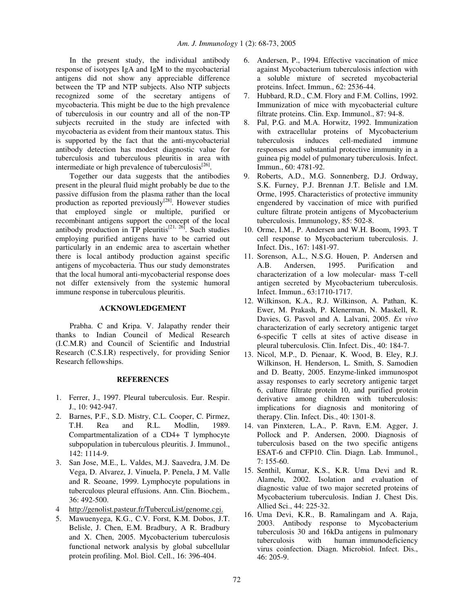In the present study, the individual antibody response of isotypes IgA and IgM to the mycobacterial antigens did not show any appreciable difference between the TP and NTP subjects. Also NTP subjects recognized some of the secretary antigens of mycobacteria. This might be due to the high prevalence of tuberculosis in our country and all of the non-TP subjects recruited in the study are infected with mycobacteria as evident from their mantoux status. This is supported by the fact that the anti-mycobacterial antibody detection has modest diagnostic value for tuberculosis and tuberculous pleuritis in area with intermediate or high prevalence of tuberculosis<sup>[26]</sup>.

Together our data suggests that the antibodies present in the pleural fluid might probably be due to the passive diffusion from the plasma rather than the local production as reported previously $^{[28]}$ . However studies that employed single or multiple, purified or recombinant antigens support the concept of the local antibody production in TP pleuritis<sup>[21, 26]</sup>. Such studies employing purified antigens have to be carried out particularly in an endemic area to ascertain whether there is local antibody production against specific antigens of mycobacteria. Thus our study demonstrates that the local humoral anti-mycobacterial response does not differ extensively from the systemic humoral immune response in tuberculous pleuritis.

### **ACKNOWLEDGEMENT**

Prabha. C and Kripa. V. Jalapathy render their thanks to Indian Council of Medical Research (I.C.M.R) and Council of Scientific and Industrial Research (C.S.I.R) respectively, for providing Senior Research fellowships.

### **REFERENCES**

- 1. Ferrer, J., 1997. Pleural tuberculosis. Eur. Respir. J., 10: 942-947.
- 2. Barnes, P.F., S.D. Mistry, C.L. Cooper, C. Pirmez, T.H. Rea and R.L. Modlin, 1989. Compartmentalization of a CD4+ T lymphocyte subpopulation in tuberculous pleuritis. J. Immunol., 142: 1114-9.
- 3. San Jose, M.E., L. Valdes, M.J. Saavedra, J.M. De Vega, D. Alvarez, J. Vinuela, P. Penela, J M. Valle and R. Seoane, 1999. Lymphocyte populations in tuberculous pleural effusions. Ann. Clin. Biochem., 36: 492-500.
- 4 http://genolist.pasteur.fr/TubercuList/genome.cgi.
- 5. Mawuenyega, K.G., C.V. Forst, K.M. Dobos, J.T. Belisle, J. Chen, E.M. Bradbury, A R. Bradbury and X. Chen, 2005. Mycobacterium tuberculosis functional network analysis by global subcellular protein profiling. Mol. Biol. Cell., 16: 396-404.
- 6. Andersen, P., 1994. Effective vaccination of mice against Mycobacterium tuberculosis infection with a soluble mixture of secreted mycobacterial proteins. Infect. Immun., 62: 2536-44.
- 7. Hubbard, R.D., C.M. Flory and F.M. Collins, 1992. Immunization of mice with mycobacterial culture filtrate proteins. Clin. Exp. Immunol., 87: 94-8.
- 8. Pal, P.G. and M.A. Horwitz, 1992. Immunization with extracellular proteins of Mycobacterium tuberculosis induces cell-mediated immune responses and substantial protective immunity in a guinea pig model of pulmonary tuberculosis. Infect. Immun., 60: 4781-92.
- 9. Roberts, A.D., M.G. Sonnenberg, D.J. Ordway, S.K. Furney, P.J. Brennan J.T. Belisle and I.M. Orme, 1995. Characteristics of protective immunity engendered by vaccination of mice with purified culture filtrate protein antigens of Mycobacterium tuberculosis. Immunology, 85: 502-8.
- 10. Orme, I.M., P. Andersen and W.H. Boom, 1993. T cell response to Mycobacterium tuberculosis. J. Infect. Dis., 167: 1481-97.
- 11. Sorenson, A.L., N.S.G. Houen, P. Andersen and A.B. Andersen, 1995. Purification and characterization of a low molecular- mass T-cell antigen secreted by Mycobacterium tuberculosis. Infect. Immun., 63:1710-1717.
- 12. Wilkinson, K.A., R.J. Wilkinson, A. Pathan, K. Ewer, M. Prakash, P. Klenerman, N. Maskell, R. Davies, G. Pasvol and A. Lalvani, 2005. *Ex vivo* characterization of early secretory antigenic target 6-specific T cells at sites of active disease in pleural tuberculosis. Clin. Infect. Dis., 40: 184-7.
- 13. Nicol, M.P., D. Pienaar, K. Wood, B. Eley, R.J. Wilkinson, H. Henderson, L. Smith, S. Samodien and D. Beatty, 2005. Enzyme-linked immunospot assay responses to early secretory antigenic target 6, culture filtrate protein 10, and purified protein derivative among children with tuberculosis: implications for diagnosis and monitoring of therapy. Clin. Infect. Dis., 40: 1301-8.
- 14. van Pinxteren, L.A., P. Ravn, E.M. Agger, J. Pollock and P. Andersen, 2000. Diagnosis of tuberculosis based on the two specific antigens ESAT-6 and CFP10. Clin. Diagn. Lab. Immunol., 7: 155-60.
- 15. Senthil, Kumar, K.S., K.R. Uma Devi and R. Alamelu, 2002. Isolation and evaluation of diagnostic value of two major secreted proteins of Mycobacterium tuberculosis. Indian J. Chest Dis. Allied Sci., 44: 225-32.
- 16. Uma Devi, K.R., B. Ramalingam and A. Raja, 2003. Antibody response to Mycobacterium tuberculosis 30 and 16kDa antigens in pulmonary tuberculosis with human immunodeficiency virus coinfection. Diagn. Microbiol. Infect. Dis., 46: 205-9.